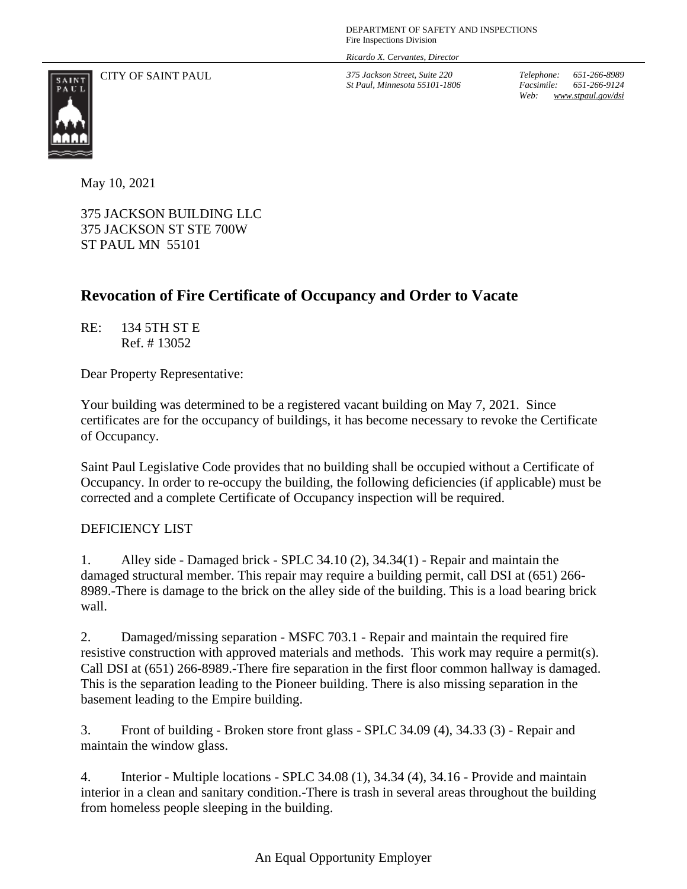*Ricardo X. Cervantes, Director*

CITY OF SAINT PAUL *375 Jackson Street, Suite 220*

*St Paul, Minnesota 55101-1806*

*Telephone: 651-266-8989 Facsimile: 651-266-9124 Web: www.stpaul.gov/dsi*



May 10, 2021

375 JACKSON BUILDING LLC 375 JACKSON ST STE 700W ST PAUL MN 55101

## **Revocation of Fire Certificate of Occupancy and Order to Vacate**

RE: 134 5TH ST E Ref. # 13052

Dear Property Representative:

Your building was determined to be a registered vacant building on May 7, 2021. Since certificates are for the occupancy of buildings, it has become necessary to revoke the Certificate of Occupancy.

Saint Paul Legislative Code provides that no building shall be occupied without a Certificate of Occupancy. In order to re-occupy the building, the following deficiencies (if applicable) must be corrected and a complete Certificate of Occupancy inspection will be required.

## DEFICIENCY LIST

1. Alley side - Damaged brick - SPLC 34.10 (2), 34.34(1) - Repair and maintain the damaged structural member. This repair may require a building permit, call DSI at (651) 266- 8989.-There is damage to the brick on the alley side of the building. This is a load bearing brick wall.

2. Damaged/missing separation - MSFC 703.1 - Repair and maintain the required fire resistive construction with approved materials and methods. This work may require a permit(s). Call DSI at (651) 266-8989.-There fire separation in the first floor common hallway is damaged. This is the separation leading to the Pioneer building. There is also missing separation in the basement leading to the Empire building.

3. Front of building - Broken store front glass - SPLC 34.09 (4), 34.33 (3) - Repair and maintain the window glass.

4. Interior - Multiple locations - SPLC 34.08 (1), 34.34 (4), 34.16 - Provide and maintain interior in a clean and sanitary condition.-There is trash in several areas throughout the building from homeless people sleeping in the building.

## An Equal Opportunity Employer